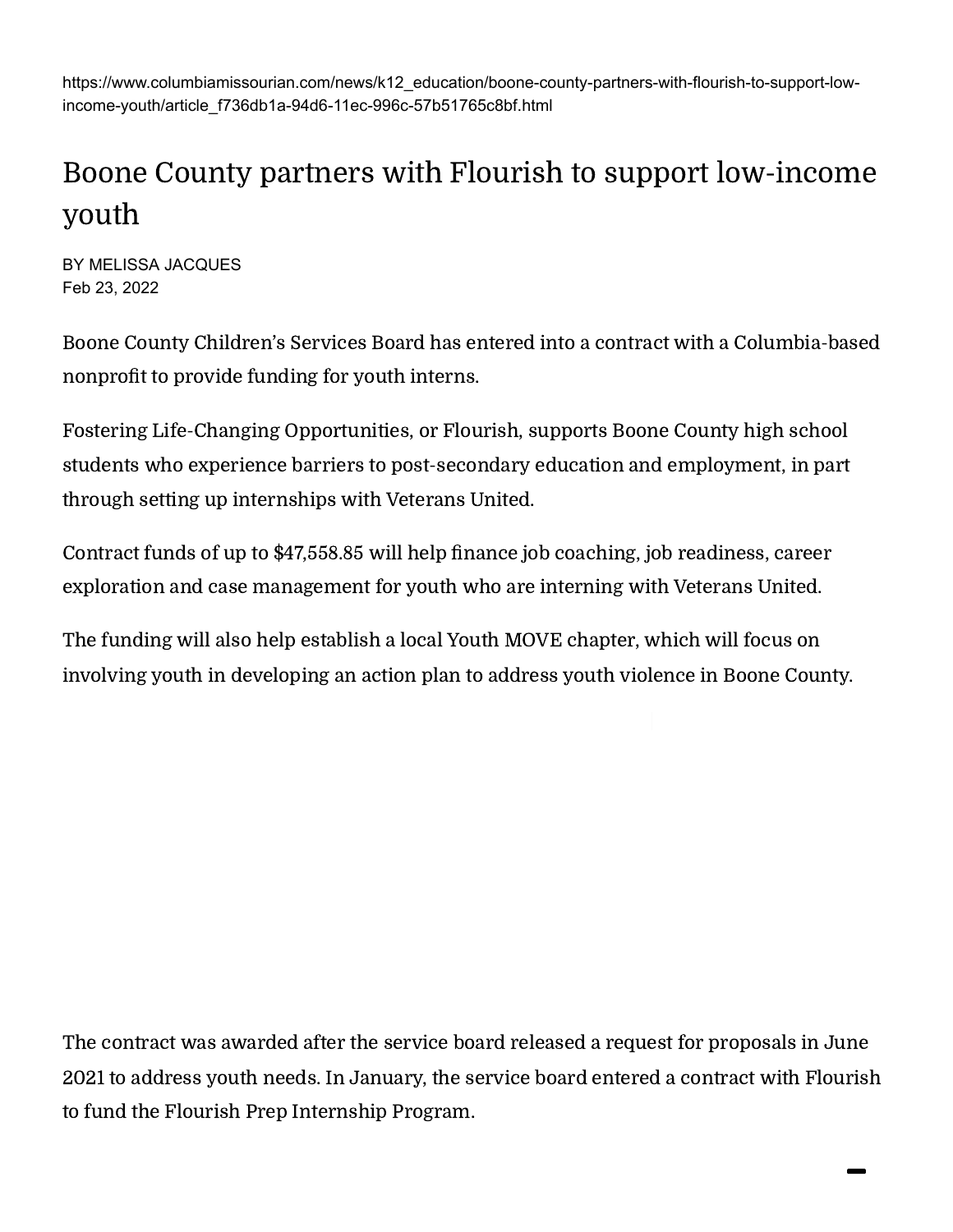https://www.columbiamissourian.com/news/k12\_education/boone-county-partners-with-flourish-to-support-lowincome-youth/article\_f736db1a-94d6-11ec-996c-57b51765c8bf.html

## Boone County partners with Flourish to support low-income youth

BY MELISSA JACQUES Feb 23, 2022

Boone County Children's Services Board has entered into a contract with a Columbia-based nonprofit to provide funding for youth interns.

Fostering Life-Changing Opportunities, or Flourish, supports Boone County high school students who experience barriers to post-secondary education and employment, in part through setting up internships with Veterans United.

Contract funds of up to \$47,558.85 will help finance job coaching, job readiness, career exploration and case management for youth who are interning with Veterans United.

The funding will also help establish a local Youth MOVE chapter, which will focus on involving youth in developing an action plan to address youth violence in Boone County.

The contract was awarded after the service board released a request for proposals in June 2021 to address youth needs. In January, the service board entered a contract with Flourish to fund the Flourish Prep Internship Program.